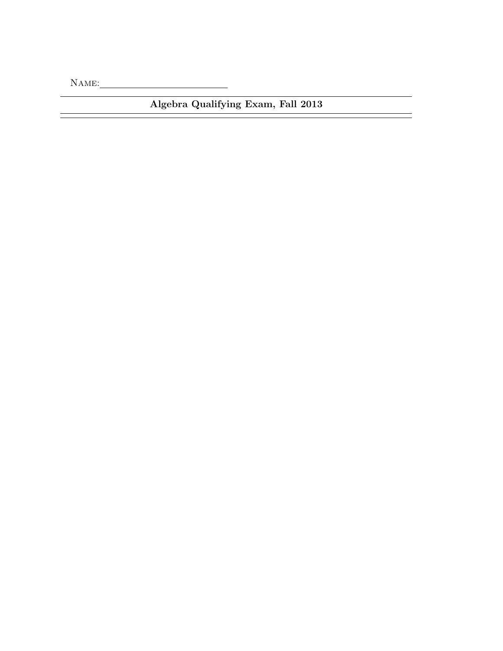Name:

Algebra Qualifying Exam, Fall 2013

ł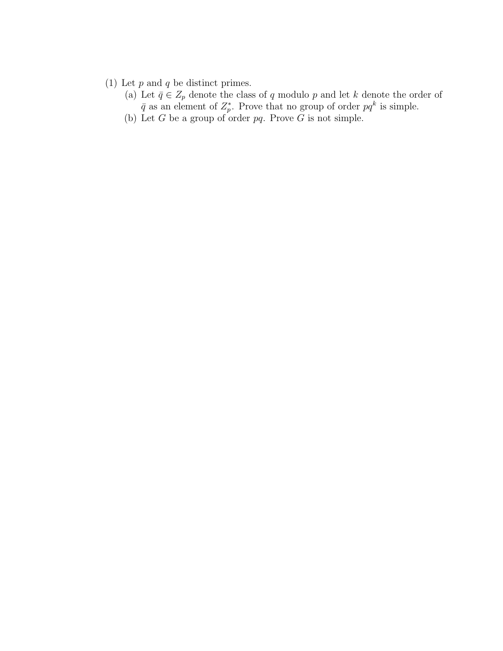- (1) Let  $p$  and  $q$  be distinct primes.
	- (a) Let  $\bar{q} \in Z_p$  denote the class of q modulo p and let k denote the order of  $\bar{q}$  as an element of  $Z_p^*$ . Prove that no group of order  $pq^k$  is simple.
	- (b) Let  $G$  be a group of order  $pq$ . Prove  $G$  is not simple.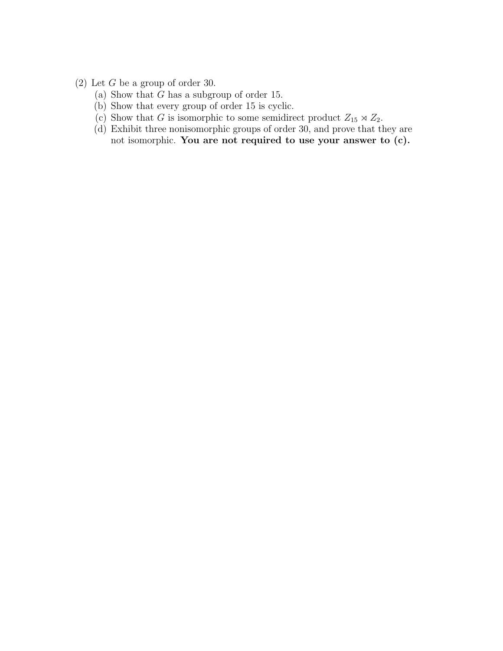- (2) Let G be a group of order 30.
	- (a) Show that  $G$  has a subgroup of order 15.
	- (b) Show that every group of order 15 is cyclic.
	- (c) Show that G is isomorphic to some semidirect product  $Z_{15} \rtimes Z_{2}$ .
	- (d) Exhibit three nonisomorphic groups of order 30, and prove that they are not isomorphic. You are not required to use your answer to (c).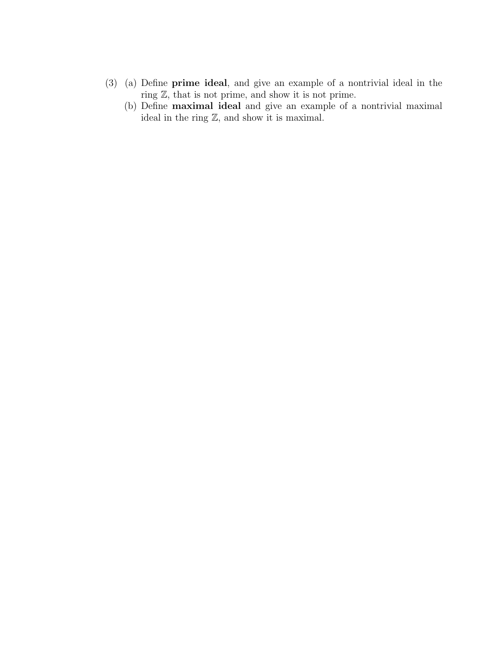- (3) (a) Define prime ideal, and give an example of a nontrivial ideal in the ring Z, that is not prime, and show it is not prime.
	- (b) Define maximal ideal and give an example of a nontrivial maximal ideal in the ring Z, and show it is maximal.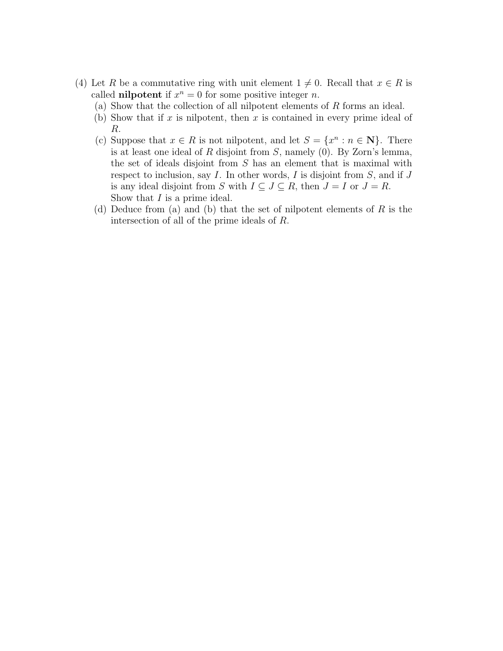- (4) Let R be a commutative ring with unit element  $1 \neq 0$ . Recall that  $x \in R$  is called **nilpotent** if  $x^n = 0$  for some positive integer *n*.
	- (a) Show that the collection of all nilpotent elements of R forms an ideal.
	- (b) Show that if x is nilpotent, then x is contained in every prime ideal of R.
	- (c) Suppose that  $x \in R$  is not nilpotent, and let  $S = \{x^n : n \in \mathbb{N}\}\$ . There is at least one ideal of  $R$  disjoint from  $S$ , namely  $(0)$ . By Zorn's lemma, the set of ideals disjoint from S has an element that is maximal with respect to inclusion, say  $I$ . In other words,  $I$  is disjoint from  $S$ , and if  $J$ is any ideal disjoint from S with  $I \subseteq J \subseteq R$ , then  $J = I$  or  $J = R$ . Show that  $I$  is a prime ideal.
	- (d) Deduce from (a) and (b) that the set of nilpotent elements of  $R$  is the intersection of all of the prime ideals of R.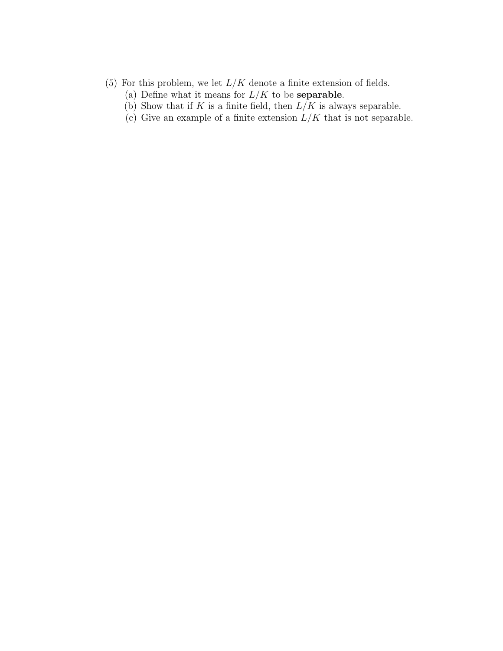- (5) For this problem, we let  $L/K$  denote a finite extension of fields.
	- (a) Define what it means for  $L/K$  to be **separable**.
	- (b) Show that if K is a finite field, then  $L/K$  is always separable.
	- (c) Give an example of a finite extension  $L/K$  that is not separable.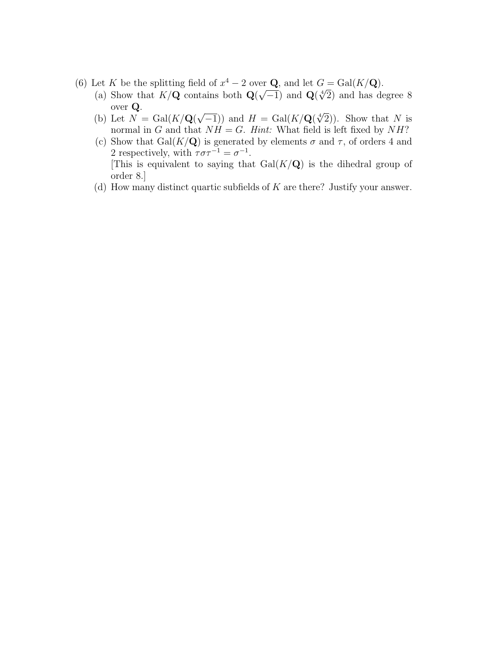- (6) Let K be the splitting field of  $x^4 2$  over **Q**, and let  $G = \text{Gal}(K/\mathbf{Q})$ .
	- (a) Show that  $K/Q$  contains both  $Q(\sqrt{-1})$  and  $Q(\sqrt[4]{2})$  and has degree 8 over Q. √
	- (b) Let  $N = \text{Gal}(K/\mathbf{Q})$  $\overline{-1}$ )) and  $H = \text{Gal}(K/\mathbf{Q}(\sqrt[4]{2}))$ . Show that N is normal in G and that  $NH = G$ . Hint: What field is left fixed by NH?
	- (c) Show that Gal( $K/\mathbf{Q}$ ) is generated by elements  $\sigma$  and  $\tau$ , of orders 4 and 2 respectively, with  $\tau \sigma \tau^{-1} = \sigma^{-1}$ . [This is equivalent to saying that  $Gal(K/Q)$  is the dihedral group of order 8.]
	- (d) How many distinct quartic subfields of  $K$  are there? Justify your answer.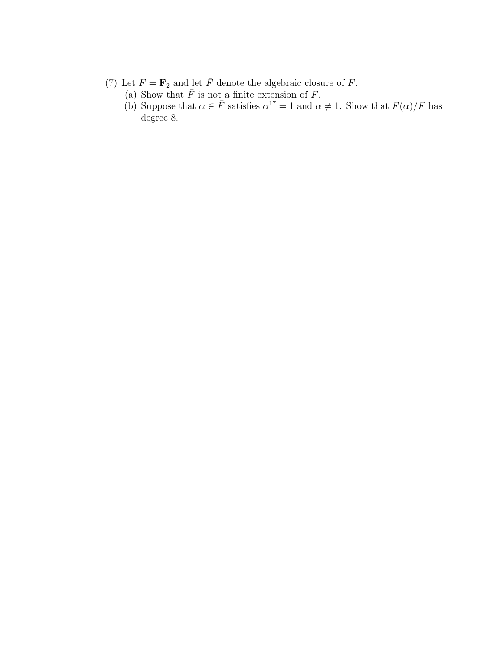- (7) Let  $F = \mathbf{F}_2$  and let  $\overline{F}$  denote the algebraic closure of  $F$ .
	- (a) Show that  $\overline{F}$  is not a finite extension of F.
	- (b) Suppose that  $\alpha \in \bar{F}$  satisfies  $\alpha^{17} = 1$  and  $\alpha \neq 1$ . Show that  $F(\alpha)/F$  has degree 8.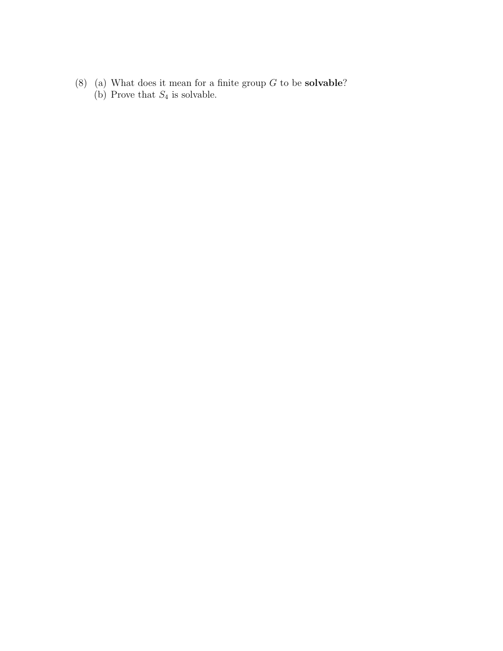(8) (a) What does it mean for a finite group  $G$  to be **solvable**? (b) Prove that  $S_4$  is solvable.